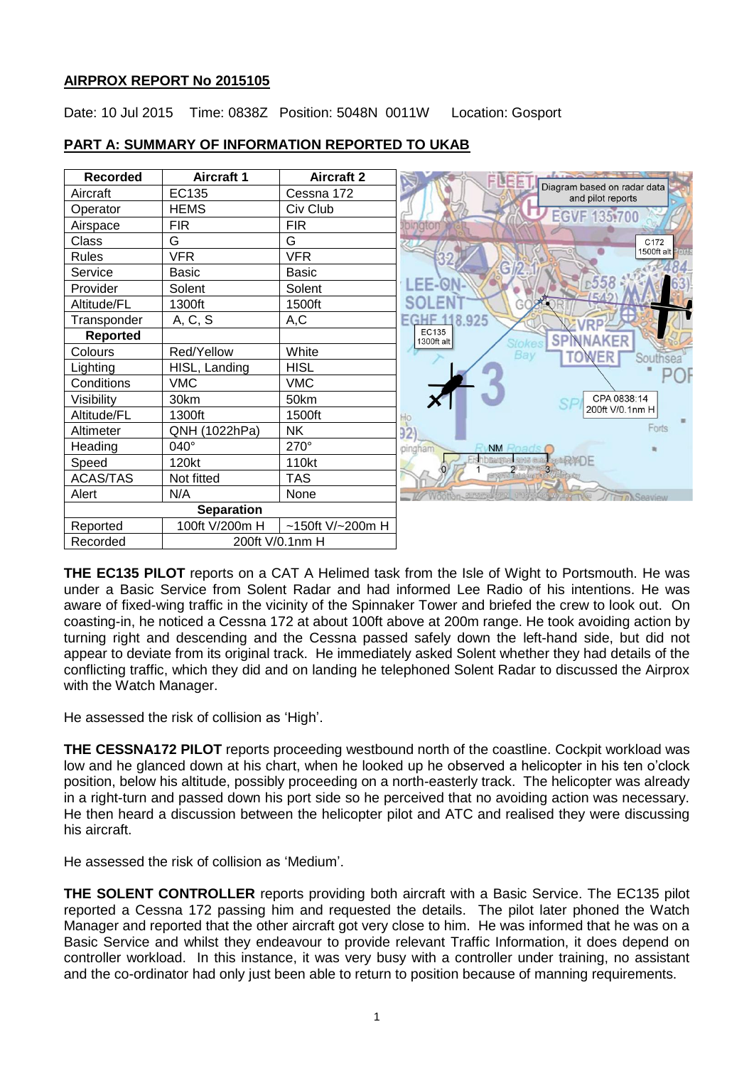# **AIRPROX REPORT No 2015105**

Date: 10 Jul 2015 Time: 0838Z Position: 5048N 0011W Location: Gosport

| <b>Recorded</b>   | <b>Aircraft 1</b> | <b>Aircraft 2</b>   | <b>ELEE</b>                                                  |
|-------------------|-------------------|---------------------|--------------------------------------------------------------|
| Aircraft          | EC135             | Cessna 172          | Diagram based on radar data<br>and pilot reports             |
| Operator          | <b>HEMS</b>       | Civ Club            | <b>EGVF 135.700</b>                                          |
| Airspace          | <b>FIR</b>        | <b>FIR</b>          |                                                              |
| Class             | G                 | G                   | C172                                                         |
| <b>Rules</b>      | <b>VFR</b>        | <b>VFR</b>          | 1500ft alt Ports                                             |
| Service           | Basic             | <b>Basic</b>        | G                                                            |
| Provider          | Solent            | Solent              | $-558$<br><b>LEE-ON</b>                                      |
| Altitude/FL       | 1300ft            | 1500ft              | SOL                                                          |
| Transponder       | A, C, S           | A,C                 | 8.925<br>ECHE                                                |
| <b>Reported</b>   |                   |                     | EC135<br><b>SPIN</b><br><b>NAKER</b><br>1300ft alt<br>Stokes |
| Colours           | Red/Yellow        | White               | Bay<br>TOWER<br>Southsea                                     |
| Lighting          | HISL, Landing     | <b>HISL</b>         |                                                              |
| Conditions        | <b>VMC</b>        | <b>VMC</b>          |                                                              |
| Visibility        | 30km              | 50km                | CPA 0838:14                                                  |
| Altitude/FL       | 1300ft            | 1500ft              | 200ft V/0.1nm H<br>Ho                                        |
| Altimeter         | QNH (1022hPa)     | NΚ                  | Forts<br>32 <sub>1</sub>                                     |
| Heading           | $040^\circ$       | 270°                | <b>NM Road</b><br>pingham                                    |
| Speed             | 120kt             | 110kt               |                                                              |
| <b>ACAS/TAS</b>   | Not fitted        | <b>TAS</b>          | 2 Diplomacy                                                  |
| Alert             | N/A               | None                |                                                              |
| <b>Separation</b> |                   |                     |                                                              |
| Reported          | 100ft V/200m H    | $~150$ ft V/~200m H |                                                              |
| Recorded          | 200ft V/0.1nm H   |                     |                                                              |

# **PART A: SUMMARY OF INFORMATION REPORTED TO UKAB**

**THE EC135 PILOT** reports on a CAT A Helimed task from the Isle of Wight to Portsmouth. He was under a Basic Service from Solent Radar and had informed Lee Radio of his intentions. He was aware of fixed-wing traffic in the vicinity of the Spinnaker Tower and briefed the crew to look out. On coasting-in, he noticed a Cessna 172 at about 100ft above at 200m range. He took avoiding action by turning right and descending and the Cessna passed safely down the left-hand side, but did not appear to deviate from its original track. He immediately asked Solent whether they had details of the conflicting traffic, which they did and on landing he telephoned Solent Radar to discussed the Airprox with the Watch Manager.

He assessed the risk of collision as 'High'.

**THE CESSNA172 PILOT** reports proceeding westbound north of the coastline. Cockpit workload was low and he glanced down at his chart, when he looked up he observed a helicopter in his ten o'clock position, below his altitude, possibly proceeding on a north-easterly track. The helicopter was already in a right-turn and passed down his port side so he perceived that no avoiding action was necessary. He then heard a discussion between the helicopter pilot and ATC and realised they were discussing his aircraft.

He assessed the risk of collision as 'Medium'.

**THE SOLENT CONTROLLER** reports providing both aircraft with a Basic Service. The EC135 pilot reported a Cessna 172 passing him and requested the details. The pilot later phoned the Watch Manager and reported that the other aircraft got very close to him. He was informed that he was on a Basic Service and whilst they endeavour to provide relevant Traffic Information, it does depend on controller workload. In this instance, it was very busy with a controller under training, no assistant and the co-ordinator had only just been able to return to position because of manning requirements.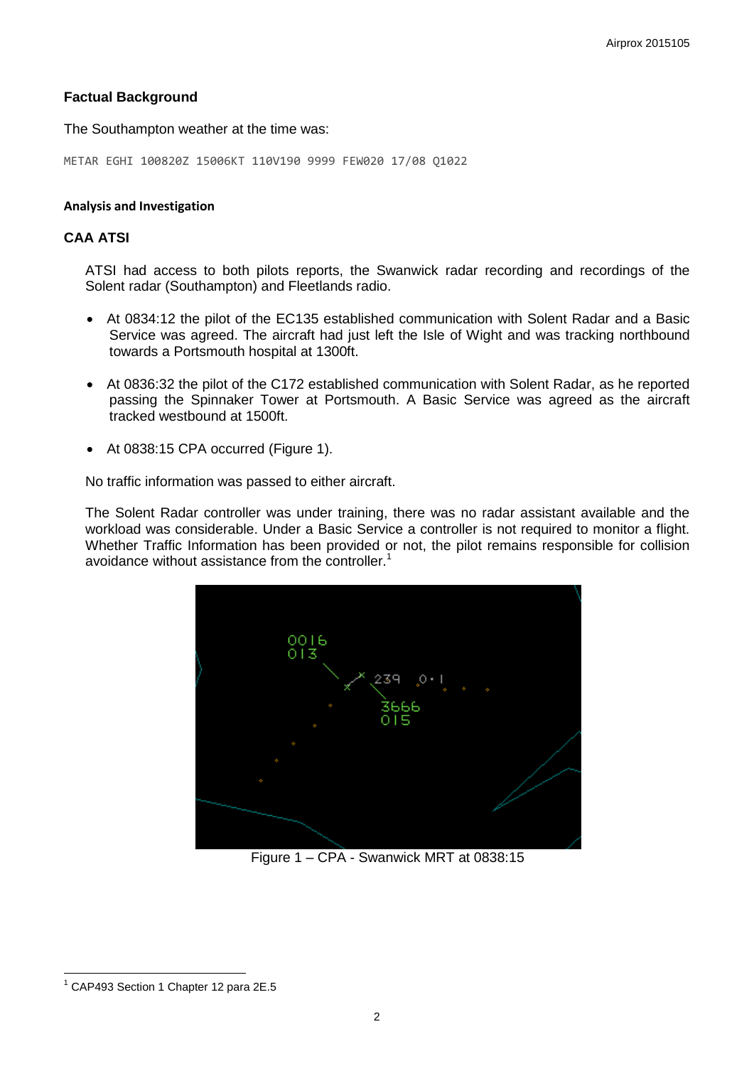## **Factual Background**

The Southampton weather at the time was:

METAR EGHI 100820Z 15006KT 110V190 9999 FEW020 17/08 Q1022

#### **Analysis and Investigation**

## **CAA ATSI**

ATSI had access to both pilots reports, the Swanwick radar recording and recordings of the Solent radar (Southampton) and Fleetlands radio.

- At 0834:12 the pilot of the EC135 established communication with Solent Radar and a Basic Service was agreed. The aircraft had just left the Isle of Wight and was tracking northbound towards a Portsmouth hospital at 1300ft.
- At 0836:32 the pilot of the C172 established communication with Solent Radar, as he reported passing the Spinnaker Tower at Portsmouth. A Basic Service was agreed as the aircraft tracked westbound at 1500ft.
- At 0838:15 CPA occurred (Figure 1).

No traffic information was passed to either aircraft.

The Solent Radar controller was under training, there was no radar assistant available and the workload was considerable. Under a Basic Service a controller is not required to monitor a flight. Whether Traffic Information has been provided or not, the pilot remains responsible for collision avoidance without assistance from the controller. $<sup>1</sup>$ </sup>



Figure 1 – CPA - Swanwick MRT at 0838:15

 $\overline{a}$ <sup>1</sup> CAP493 Section 1 Chapter 12 para 2E.5